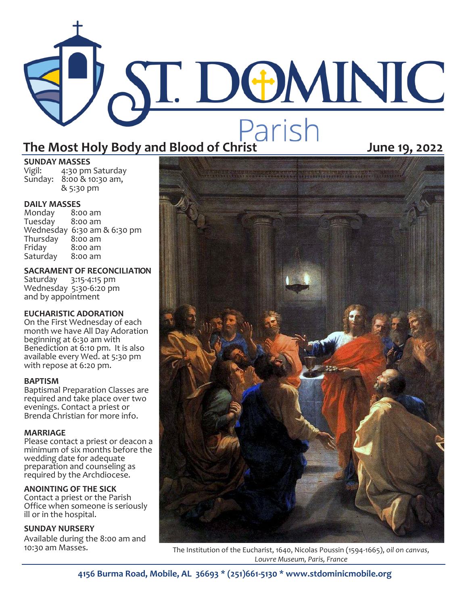# ST. DOMINIC The Most Holy Body and Blood of Christ<br>
When West Holy Body and Blood of Christ **June 19, 2022**

### **SUNDAY MASSES**<br>Vigil: 4:30 pm 4:30 pm Saturday

Sunday: 8:00 & 10:30 am, & 5:30 pm

# **DAILY MASSES**

Monday 8:00 am Tuesday Wednesday 6:30 am & 6:30 pm Thursday<br>Friday  $8:00$  am<br> $8:00$  am Saturday

**SACRAMENT OF RECONCILIATION** Saturday 3:15-4:15 pm Wednesday 5:30-6:20 pm and by appointment

## **EUCHARISTIC ADORATION**

On the First Wednesday of each month we have All Day Adoration beginning at 6:30 am with Benediction at 6:10 pm. It is also available every Wed. at 5:30 pm with repose at 6:20 pm.

### **BAPTISM**

Baptismal Preparation Classes are required and take place over two evenings. Contact a priest or Brenda Christian for more info.

## **MARRIAGE**

Please contact a priest or deacon a minimum of six months before the wedding date for adequate preparation and counseling as required by the Archdiocese.

### **ANOINTING OF THE SICK**

Contact a priest or the Parish Office when someone is seriously ill or in the hospital.

### **SUNDAY NURSERY**

Available during the 8:00 am and<br>10:30 am Masses.



The Institution of the Eucharist, 1640, Nicolas Poussin (1594-1665), oil on canvas, *Louvre Museum, Paris, France*

**4156 Burma Road, Mobile, AL 36693 \* (251)661-5130 \* www.stdominicmobile.org**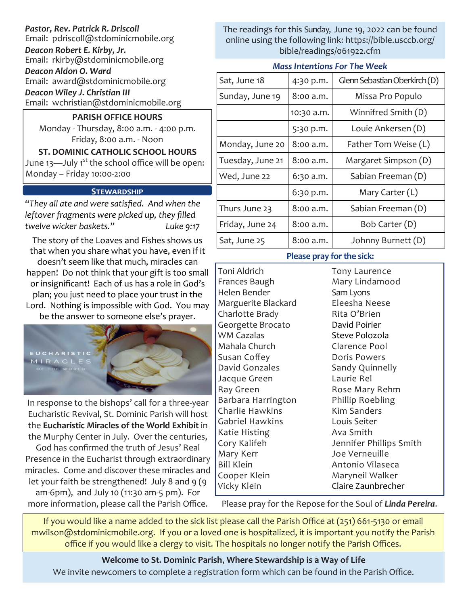## *Pastor, Rev. Patrick R. Driscoll*

Email: pdriscoll@stdominicmobile.org

*Deacon Robert E. Kirby, Jr.*

Email: rkirby@stdominicmobile.org

*Deacon Aldon O. Ward* Email: award@stdominicmobile.org

*Deacon Wiley J. Christian III*

Email: wchristian@stdominicmobile.org

**PARISH OFFICE HOURS**

Monday - Thursday, 8:00 a.m. - 4:00 p.m. Friday, 8:00 a.m. - Noon

**ST. DOMINIC CATHOLIC SCHOOL HOURS**  June 13—July 1<sup>st</sup> the school office will be open: Monday – Friday 10:00-2:00

## **STEWARDSHIP**

*"They all ate and were satisfied. And when the leftover fragments were picked up, they filled twelve wicker baskets." Luke 9:17*

The story of the Loaves and Fishes shows us that when you share what you have, even if it doesn't seem like that much, miracles can happen! Do not think that your gift is too small or insignificant! Each of us has a role in God's plan; you just need to place your trust in the Lord. Nothing is impossible with God. You may be the answer to someone else's prayer.



In response to the bishops' call for a three-year Eucharistic Revival, St. Dominic Parish will host the **Eucharistic Miracles of the World Exhibit** in the Murphy Center in July. Over the centuries,

God has confirmed the truth of Jesus' Real Presence in the Eucharist through extraordinary miracles. Come and discover these miracles and let your faith be strengthened! July 8 and 9 (9) am-6pm), and July 10 (11:30 am-5 pm). For more information, please call the Parish Office.

The readings for this Sunday, June 19, 2022 can be found online using the following link: https://bible.usccb.org/ bible/readings/061922.cfm

### *Mass Intentions For The Week*

| Sat, June 18     | 4:30 p.m.  | Glenn Sebastian Oberkirch (D) |
|------------------|------------|-------------------------------|
| Sunday, June 19  | 8:00 a.m.  | Missa Pro Populo              |
|                  | 10:30 a.m. | Winnifred Smith (D)           |
|                  | 5:30 p.m.  | Louie Ankersen (D)            |
| Monday, June 20  | 8:00 a.m.  | Father Tom Weise (L)          |
| Tuesday, June 21 | 8:00 a.m.  | Margaret Simpson (D)          |
| Wed, June 22     | 6:30 a.m.  | Sabian Freeman (D)            |
|                  | 6:30 p.m.  | Mary Carter (L)               |
| Thurs June 23    | 8:00 a.m.  | Sabian Freeman (D)            |
| Friday, June 24  | 8:00 a.m.  | Bob Carter (D)                |
| Sat, June 25     | 8:00 a.m.  | Johnny Burnett (D)            |

### **Please pray for the sick:**

Toni Aldrich Frances Baugh Helen Bender Marguerite Blackard Charlotte Brady Georgette Brocato WM Cazalas Mahala Church Susan Coffey David Gonzales Jacque Green Ray Green Barbara Harrington Charlie Hawkins Gabriel Hawkins Katie Histing Cory Kalifeh Mary Kerr Bill Klein Cooper Klein Vicky Klein

Tony Laurence Mary Lindamood Sam Lyons Eleesha Neese Rita O'Brien David Poirier Steve Polozola Clarence Pool Doris Powers Sandy Quinnelly Laurie Rel Rose Mary Rehm Phillip Roebling Kim Sanders Louis Seiter Ava Smith Jennifer Phillips Smith Joe Verneuille Antonio Vilaseca Maryneil Walker Claire Zaunbrecher

Please pray for the Repose for the Soul of *Linda Pereira*.

If you would like a name added to the sick list please call the Parish Office at (251) 661-5130 or email mwilson@stdominicmobile.org. If you or a loved one is hospitalized, it is important you notify the Parish office if you would like a clergy to visit. The hospitals no longer notify the Parish Offices.

**Welcome to St. Dominic Parish**, **Where Stewardship is a Way of Life**  We invite newcomers to complete a registration form which can be found in the Parish Office.